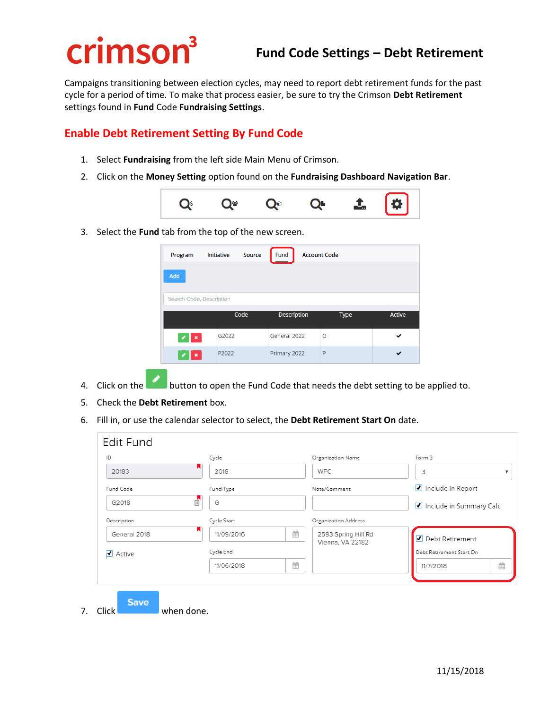# crimson<sup>3</sup>

## **Fund Code Settings – Debt Retirement**

Campaigns transitioning between election cycles, may need to report debt retirement funds for the past cycle for a period of time. To make that process easier, be sure to try the Crimson **Debt Retirement** settings found in **Fund** Code **Fundraising Settings**.

#### **Enable Debt Retirement Setting By Fund Code**

- 1. Select **Fundraising** from the left side Main Menu of Crimson.
- 2. Click on the **Money Setting** option found on the **Fundraising Dashboard Navigation Bar**.



3. Select the **Fund** tab from the top of the new screen.

| Program                  | Initiative | Source | Fund<br><b>Account Code</b> |   |      |               |  |
|--------------------------|------------|--------|-----------------------------|---|------|---------------|--|
| Add                      |            |        |                             |   |      |               |  |
|                          |            |        |                             |   |      |               |  |
| Search Code, Description |            |        |                             |   |      |               |  |
|                          |            | Code   | Description                 |   | Type | <b>Active</b> |  |
| $\mathbf x$              | G2022      |        | General 2022                | G |      | ✔             |  |

- 4. Click on the **button to open the Fund Code that needs the debt setting to be applied to.**
- 5. Check the **Debt Retirement** box.
- 6. Fill in, or use the calendar selector to select, the **Debt Retirement Start On** date.

| Cycle       |   | Organization Name    | Form 3                   |   |
|-------------|---|----------------------|--------------------------|---|
| 2018        |   | <b>WFC</b>           | 3                        |   |
| Fund Type   |   | Note/Comment         | Include in Report        |   |
| G           |   |                      | Include in Summary Calc  |   |
| Cycle Start |   | Organization Address |                          |   |
| 11/09/2016  | 曲 | 2593 Spring Hill Rd  | ● Debt Retirement        |   |
| Cycle End   |   |                      | Debt Retirement Start On |   |
| 11/06/2018  | 曲 |                      | 11/7/2018                | Ë |
|             | A |                      | Vienna, VA 22182         |   |

7. Click when done.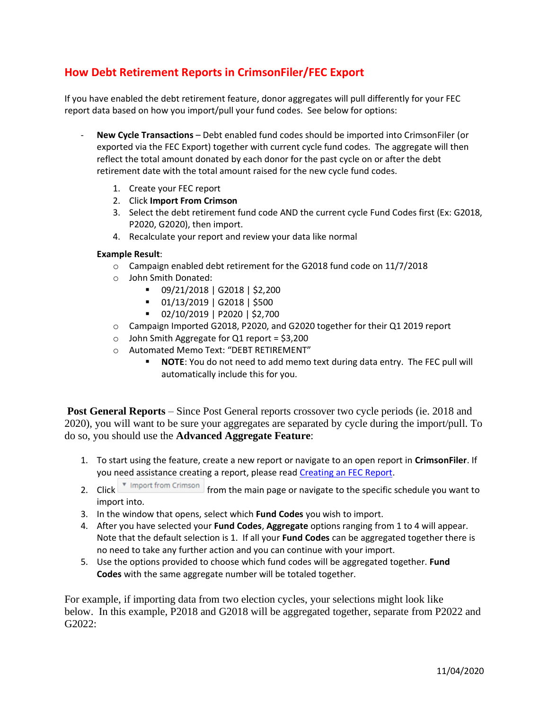### **How Debt Retirement Reports in CrimsonFiler/FEC Export**

If you have enabled the debt retirement feature, donor aggregates will pull differently for your FEC report data based on how you import/pull your fund codes. See below for options:

- **New Cycle Transactions** Debt enabled fund codes should be imported into CrimsonFiler (or exported via the FEC Export) together with current cycle fund codes. The aggregate will then reflect the total amount donated by each donor for the past cycle on or after the debt retirement date with the total amount raised for the new cycle fund codes.
	- 1. Create your FEC report
	- 2. Click **Import From Crimson**
	- 3. Select the debt retirement fund code AND the current cycle Fund Codes first (Ex: G2018, P2020, G2020), then import.
	- 4. Recalculate your report and review your data like normal

#### **Example Result**:

- o Campaign enabled debt retirement for the G2018 fund code on 11/7/2018
- o John Smith Donated:
	- 09/21/2018 | G2018 | \$2,200
	- 01/13/2019 | G2018 | \$500
	- 02/10/2019 | P2020 | \$2,700
- o Campaign Imported G2018, P2020, and G2020 together for their Q1 2019 report
- $\circ$  John Smith Aggregate for Q1 report = \$3,200
- o Automated Memo Text: "DEBT RETIREMENT"
	- **NOTE**: You do not need to add memo text during data entry. The FEC pull will automatically include this for you.

**Post General Reports** – Since Post General reports crossover two cycle periods (ie. 2018 and 2020), you will want to be sure your aggregates are separated by cycle during the import/pull. To do so, you should use the **Advanced Aggregate Feature**:

- 1. To start using the feature, create a new report or navigate to an open report in **CrimsonFiler**. If you need assistance creating a report, please read [Creating an FEC Report.](https://support.cmdi.com/hc/en-us/articles/204947315-CrimsonFiler-Creating-an-FEC-Report)
- 2. Click  $\sqrt{\bullet}$  Import from Crimson from the main page or navigate to the specific schedule you want to import into.
- 3. In the window that opens, select which **Fund Codes** you wish to import.
- 4. After you have selected your **Fund Codes**, **Aggregate** options ranging from 1 to 4 will appear. Note that the default selection is 1. If all your **Fund Codes** can be aggregated together there is no need to take any further action and you can continue with your import.
- 5. Use the options provided to choose which fund codes will be aggregated together. **Fund Codes** with the same aggregate number will be totaled together.

For example, if importing data from two election cycles, your selections might look like below. In this example, P2018 and G2018 will be aggregated together, separate from P2022 and G2022: